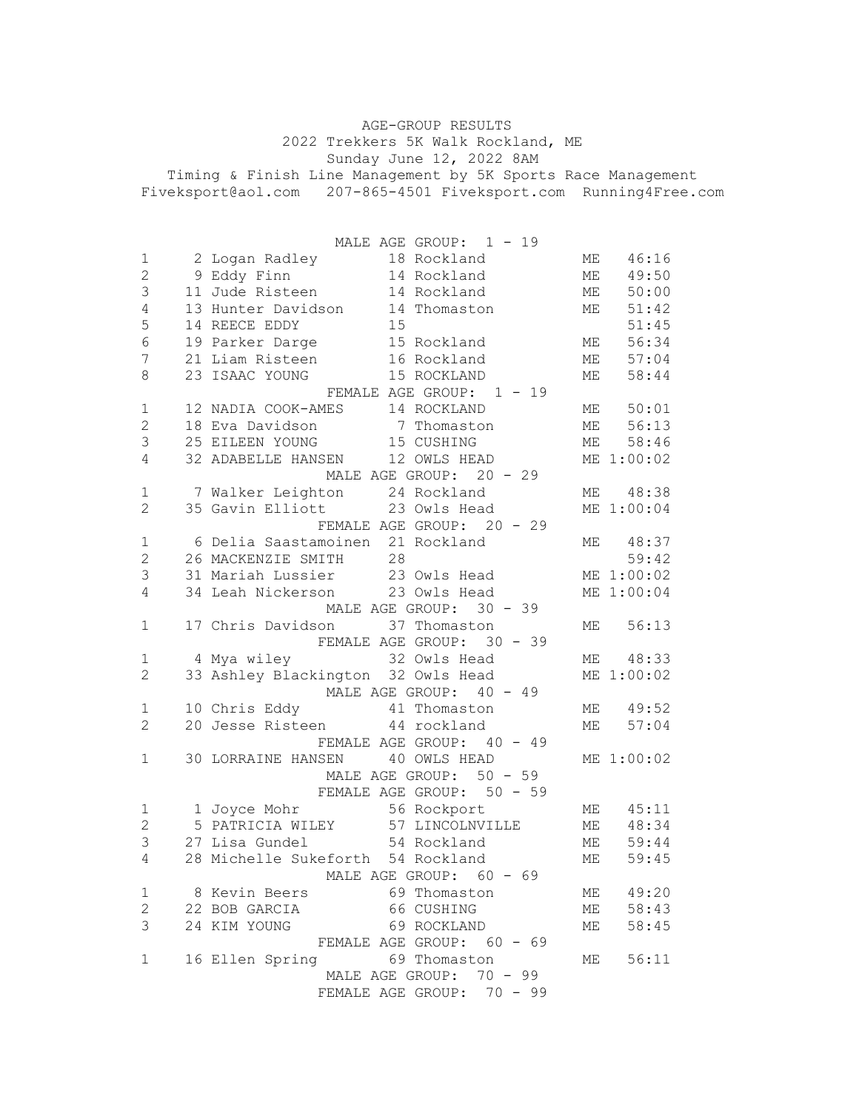AGE-GROUP RESULTS 2022 Trekkers 5K Walk Rockland, ME Sunday June 12, 2022 8AM Timing & Finish Line Management by 5K Sports Race Management Fiveksport@aol.com 207-865-4501 Fiveksport.com Running4Free.com

|                          |  | MALE AGE GROUP: 1 - 19                                                                                                                      |               |            |
|--------------------------|--|---------------------------------------------------------------------------------------------------------------------------------------------|---------------|------------|
| $\mathbf 1$              |  | 2 Logan Radley 18 Rockland<br>9 Eddy Finn 14 Rockland<br>11 Jude Risteen 14 Rockland<br>13 Hunter Davidson 14 Thomaston<br>14 REECE EDDY 15 | ME            | 46:16      |
| $\mathbf{2}$             |  |                                                                                                                                             | ME            | 49:50      |
| $\mathsf 3$              |  |                                                                                                                                             | ME            | 50:00      |
| $\sqrt{4}$               |  |                                                                                                                                             | МE            | 51:42      |
| 5                        |  |                                                                                                                                             |               | 51:45      |
| $\sqrt{6}$               |  | 19 Parker Darge 15 Rockland                                                                                                                 | ME            | 56:34      |
| 7                        |  | 21 Liam Risteen 16 Rockland                                                                                                                 | ME            | 57:04      |
| 8                        |  | 15 ROCKLAND<br>23 ISAAC YOUNG                                                                                                               | МE            | 58:44      |
| FEMALE AGE GROUP: 1 - 19 |  |                                                                                                                                             |               |            |
| $\mathbf 1$              |  | 12 NADIA COOK-AMES 14 ROCKLAND                                                                                                              | ME            | 50:01      |
| $\mathbf 2$              |  | 18 Eva Davidson 7 Thomaston                                                                                                                 | ME            | 56:13      |
| $\mathfrak{Z}$           |  | 25 EILEEN YOUNG 15 CUSHING                                                                                                                  | <b>ME</b>     | 58:46      |
| 4                        |  | 32 ADABELLE HANSEN 12 OWLS HEAD                                                                                                             |               | ME 1:00:02 |
|                          |  | MALE AGE GROUP: 20 - 29                                                                                                                     |               |            |
| $\mathbf 1$              |  | 7 Walker Leighton 24 Rockland                                                                                                               |               | ME 48:38   |
| 2                        |  | 35 Gavin Elliott 23 Owls Head                                                                                                               |               | ME 1:00:04 |
|                          |  | FEMALE AGE GROUP: 20 - 29                                                                                                                   |               |            |
| $\mathbf 1$              |  | 6 Delia Saastamoinen 21 Rockland                                                                                                            |               | ME 48:37   |
| $\mathbf{2}$             |  | 28<br>26 MACKENZIE SMITH                                                                                                                    |               | 59:42      |
| 3                        |  | 31 Mariah Lussier 23 Owls Head                                                                                                              |               | ME 1:00:02 |
| 4                        |  | 34 Leah Nickerson 23 Owls Head                                                                                                              |               | ME 1:00:04 |
|                          |  | MALE AGE GROUP: 30 - 39                                                                                                                     |               |            |
| $\mathbf{1}$             |  | 17 Chris Davidson 37 Thomaston                                                                                                              | ME            | 56:13      |
|                          |  | FEMALE AGE GROUP: 30 - 39                                                                                                                   |               |            |
| 1                        |  |                                                                                                                                             | ME            | 48:33      |
| $\overline{c}$           |  | 33 Ashley Blackington 32 Owls Head                                                                                                          |               | ME 1:00:02 |
|                          |  | MALE AGE GROUP: 40 - 49                                                                                                                     |               |            |
| 1                        |  | 10 Chris Eddy 11 Thomaston                                                                                                                  |               | ME 49:52   |
| 2                        |  | 20 Jesse Risteen 44 rockland                                                                                                                | ME            | 57:04      |
|                          |  | FEMALE AGE GROUP: 40 - 49                                                                                                                   |               |            |
| 1                        |  | 30 LORRAINE HANSEN 40 OWLS HEAD                                                                                                             |               | ME 1:00:02 |
|                          |  | MALE AGE GROUP: 50 - 59                                                                                                                     |               |            |
|                          |  | FEMALE AGE GROUP: 50 - 59                                                                                                                   |               |            |
| 1                        |  | 1 Joyce Mohr 56 Rockport                                                                                                                    | ME            | 45:11      |
| $\overline{c}$           |  | 5 PATRICIA WILEY 57 LINCOLNVILLE                                                                                                            | ME            | 48:34      |
| 3                        |  | 27 Lisa Gundel 54 Rockland                                                                                                                  | МE            | 59:44      |
| $\overline{4}$           |  | 28 Michelle Sukeforth 54 Rockland                                                                                                           | $\mathbb{ME}$ | 59:45      |
|                          |  | MALE AGE GROUP: 60 - 69                                                                                                                     |               |            |
| 1                        |  | 8 Kevin Beers 69 Thomaston                                                                                                                  | ME            | 49:20      |
| $\overline{2}$           |  | 22 BOB GARCIA<br>66 CUSHING                                                                                                                 | ME            | 58:43      |
| 3                        |  | 24 KIM YOUNG<br>69 ROCKLAND                                                                                                                 | ME            | 58:45      |
|                          |  | FEMALE AGE GROUP: 60 - 69                                                                                                                   |               |            |
| 1                        |  | 16 Ellen Spring 69 Thomaston                                                                                                                | ME            | 56:11      |
|                          |  | MALE AGE GROUP: 70 - 99                                                                                                                     |               |            |
|                          |  | FEMALE AGE GROUP: 70 - 99                                                                                                                   |               |            |